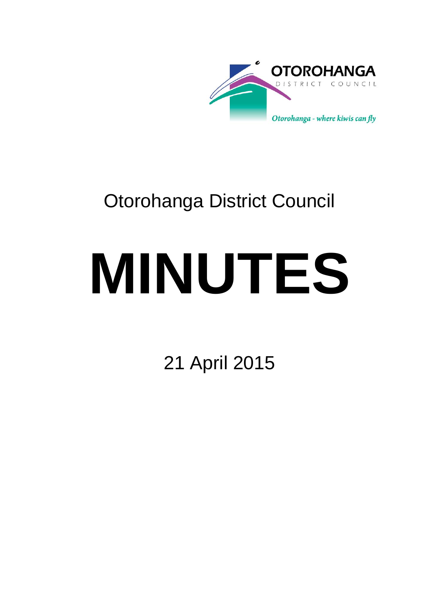

## Otorohanga District Council

# **MINUTES**

21 April 2015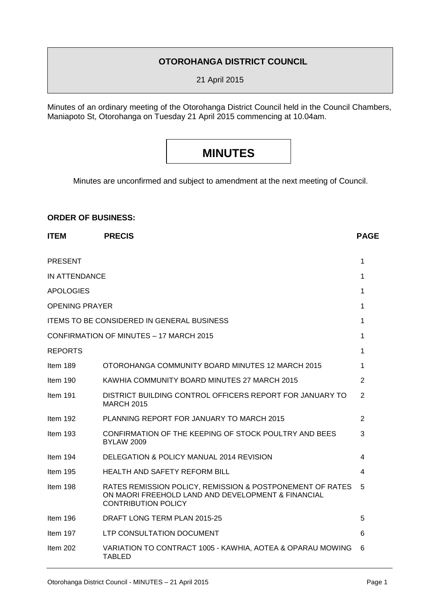#### **OTOROHANGA DISTRICT COUNCIL**

21 April 2015

Minutes of an ordinary meeting of the Otorohanga District Council held in the Council Chambers, Maniapoto St, Otorohanga on Tuesday 21 April 2015 commencing at 10.04am.

### **MINUTES**

Minutes are unconfirmed and subject to amendment at the next meeting of Council.

#### **ORDER OF BUSINESS:**

| <b>ITEM</b>           | <b>PRECIS</b>                                                                                                                                 |   |  |  |  |
|-----------------------|-----------------------------------------------------------------------------------------------------------------------------------------------|---|--|--|--|
| <b>PRESENT</b>        |                                                                                                                                               | 1 |  |  |  |
| IN ATTENDANCE         |                                                                                                                                               |   |  |  |  |
| <b>APOLOGIES</b>      |                                                                                                                                               | 1 |  |  |  |
| <b>OPENING PRAYER</b> |                                                                                                                                               | 1 |  |  |  |
|                       | <b>ITEMS TO BE CONSIDERED IN GENERAL BUSINESS</b>                                                                                             | 1 |  |  |  |
|                       | CONFIRMATION OF MINUTES - 17 MARCH 2015                                                                                                       | 1 |  |  |  |
| <b>REPORTS</b>        |                                                                                                                                               | 1 |  |  |  |
| Item 189              | OTOROHANGA COMMUNITY BOARD MINUTES 12 MARCH 2015                                                                                              | 1 |  |  |  |
| Item 190              | KAWHIA COMMUNITY BOARD MINUTES 27 MARCH 2015                                                                                                  | 2 |  |  |  |
| Item 191              | DISTRICT BUILDING CONTROL OFFICERS REPORT FOR JANUARY TO<br><b>MARCH 2015</b>                                                                 |   |  |  |  |
| Item 192              | PLANNING REPORT FOR JANUARY TO MARCH 2015                                                                                                     | 2 |  |  |  |
| Item 193              | CONFIRMATION OF THE KEEPING OF STOCK POULTRY AND BEES<br><b>BYLAW 2009</b>                                                                    |   |  |  |  |
| Item $194$            | DELEGATION & POLICY MANUAL 2014 REVISION                                                                                                      | 4 |  |  |  |
| Item $195$            | <b>HEALTH AND SAFETY REFORM BILL</b>                                                                                                          | 4 |  |  |  |
| Item 198              | RATES REMISSION POLICY, REMISSION & POSTPONEMENT OF RATES<br>ON MAORI FREEHOLD LAND AND DEVELOPMENT & FINANCIAL<br><b>CONTRIBUTION POLICY</b> |   |  |  |  |
| Item 196              | DRAFT LONG TERM PLAN 2015-25                                                                                                                  | 5 |  |  |  |
| Item 197              | LTP CONSULTATION DOCUMENT                                                                                                                     | 6 |  |  |  |
| Item 202              | VARIATION TO CONTRACT 1005 - KAWHIA, AOTEA & OPARAU MOWING<br><b>TABLED</b>                                                                   | 6 |  |  |  |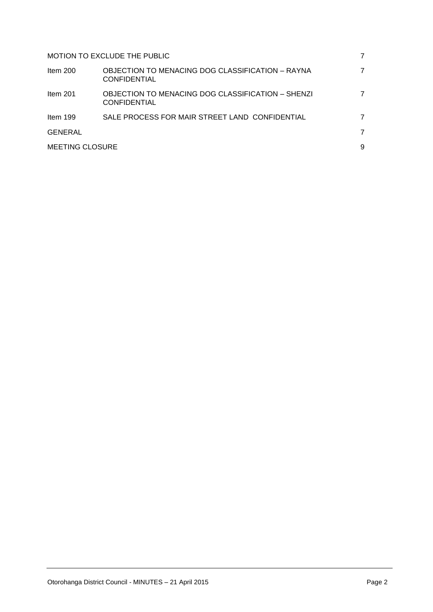| MOTION TO EXCLUDE THE PUBLIC |                                                                          |   |  |  |
|------------------------------|--------------------------------------------------------------------------|---|--|--|
| Item $200$                   | OBJECTION TO MENACING DOG CLASSIFICATION – RAYNA<br><b>CONFIDENTIAL</b>  |   |  |  |
| Item $201$                   | OBJECTION TO MENACING DOG CLASSIFICATION - SHENZI<br><b>CONFIDENTIAL</b> |   |  |  |
| Item $199$                   | SALE PROCESS FOR MAIR STREET LAND CONFIDENTIAL                           |   |  |  |
| GENERAL                      |                                                                          | 7 |  |  |
| <b>MEETING CLOSURE</b>       |                                                                          |   |  |  |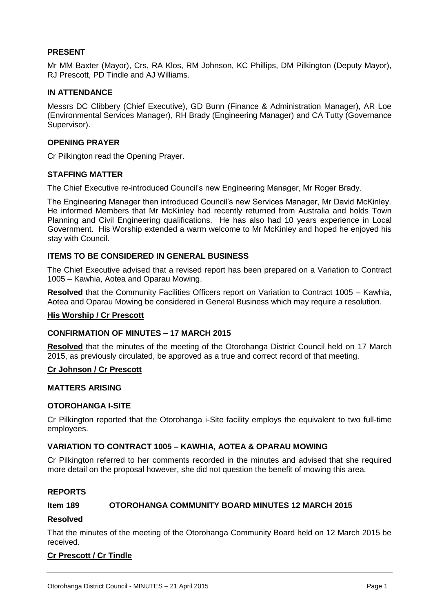#### **PRESENT**

Mr MM Baxter (Mayor), Crs, RA Klos, RM Johnson, KC Phillips, DM Pilkington (Deputy Mayor), RJ Prescott, PD Tindle and AJ Williams.

#### **IN ATTENDANCE**

Messrs DC Clibbery (Chief Executive), GD Bunn (Finance & Administration Manager), AR Loe (Environmental Services Manager), RH Brady (Engineering Manager) and CA Tutty (Governance Supervisor).

#### **OPENING PRAYER**

Cr Pilkington read the Opening Prayer.

#### **STAFFING MATTER**

The Chief Executive re-introduced Council's new Engineering Manager, Mr Roger Brady.

The Engineering Manager then introduced Council's new Services Manager, Mr David McKinley. He informed Members that Mr McKinley had recently returned from Australia and holds Town Planning and Civil Engineering qualifications. He has also had 10 years experience in Local Government. His Worship extended a warm welcome to Mr McKinley and hoped he enjoyed his stay with Council.

#### **ITEMS TO BE CONSIDERED IN GENERAL BUSINESS**

The Chief Executive advised that a revised report has been prepared on a Variation to Contract 1005 – Kawhia, Aotea and Oparau Mowing.

**Resolved** that the Community Facilities Officers report on Variation to Contract 1005 – Kawhia, Aotea and Oparau Mowing be considered in General Business which may require a resolution.

#### **His Worship / Cr Prescott**

#### **CONFIRMATION OF MINUTES – 17 MARCH 2015**

**Resolved** that the minutes of the meeting of the Otorohanga District Council held on 17 March 2015, as previously circulated, be approved as a true and correct record of that meeting.

#### **Cr Johnson / Cr Prescott**

#### **MATTERS ARISING**

#### **OTOROHANGA I-SITE**

Cr Pilkington reported that the Otorohanga i-Site facility employs the equivalent to two full-time employees.

#### **VARIATION TO CONTRACT 1005 – KAWHIA, AOTEA & OPARAU MOWING**

Cr Pilkington referred to her comments recorded in the minutes and advised that she required more detail on the proposal however, she did not question the benefit of mowing this area.

#### **REPORTS**

#### **Item 189 OTOROHANGA COMMUNITY BOARD MINUTES 12 MARCH 2015**

#### **Resolved**

That the minutes of the meeting of the Otorohanga Community Board held on 12 March 2015 be received.

#### **Cr Prescott / Cr Tindle**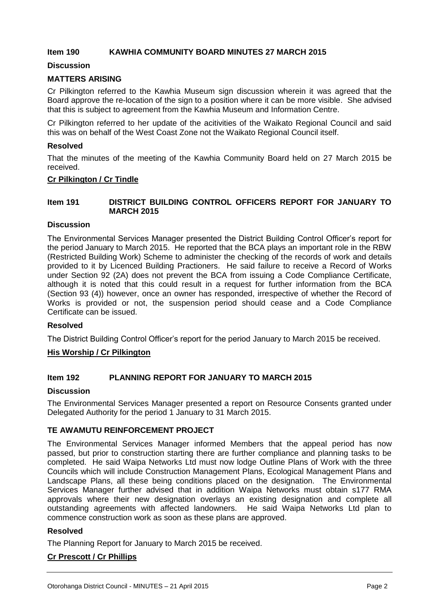#### **Item 190 KAWHIA COMMUNITY BOARD MINUTES 27 MARCH 2015**

#### **Discussion**

#### **MATTERS ARISING**

Cr Pilkington referred to the Kawhia Museum sign discussion wherein it was agreed that the Board approve the re-location of the sign to a position where it can be more visible. She advised that this is subject to agreement from the Kawhia Museum and Information Centre.

Cr Pilkington referred to her update of the acitivities of the Waikato Regional Council and said this was on behalf of the West Coast Zone not the Waikato Regional Council itself.

#### **Resolved**

That the minutes of the meeting of the Kawhia Community Board held on 27 March 2015 be received.

#### **Cr Pilkington / Cr Tindle**

#### **Item 191 DISTRICT BUILDING CONTROL OFFICERS REPORT FOR JANUARY TO MARCH 2015**

#### **Discussion**

The Environmental Services Manager presented the District Building Control Officer's report for the period January to March 2015. He reported that the BCA plays an important role in the RBW (Restricted Building Work) Scheme to administer the checking of the records of work and details provided to it by Licenced Building Practioners. He said failure to receive a Record of Works under Section 92 (2A) does not prevent the BCA from issuing a Code Compliance Certificate, although it is noted that this could result in a request for further information from the BCA (Section 93 (4)) however, once an owner has responded, irrespective of whether the Record of Works is provided or not, the suspension period should cease and a Code Compliance Certificate can be issued.

#### **Resolved**

The District Building Control Officer's report for the period January to March 2015 be received.

#### **His Worship / Cr Pilkington**

#### **Item 192 PLANNING REPORT FOR JANUARY TO MARCH 2015**

#### **Discussion**

The Environmental Services Manager presented a report on Resource Consents granted under Delegated Authority for the period 1 January to 31 March 2015.

#### **TE AWAMUTU REINFORCEMENT PROJECT**

The Environmental Services Manager informed Members that the appeal period has now passed, but prior to construction starting there are further compliance and planning tasks to be completed. He said Waipa Networks Ltd must now lodge Outline Plans of Work with the three Councils which will include Construction Management Plans, Ecological Management Plans and Landscape Plans, all these being conditions placed on the designation. The Environmental Services Manager further advised that in addition Waipa Networks must obtain s177 RMA approvals where their new designation overlays an existing designation and complete all outstanding agreements with affected landowners. He said Waipa Networks Ltd plan to commence construction work as soon as these plans are approved.

#### **Resolved**

The Planning Report for January to March 2015 be received.

#### **Cr Prescott / Cr Phillips**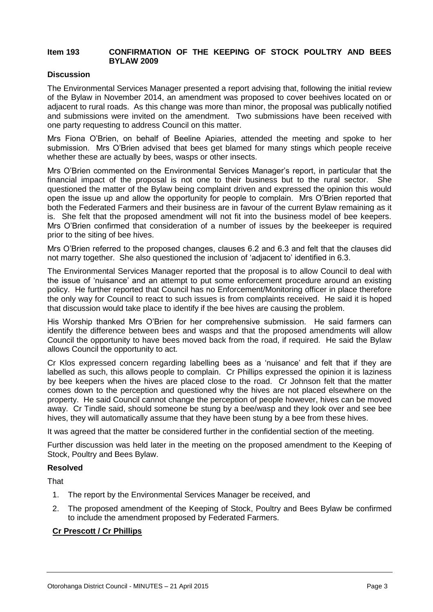#### **Item 193 CONFIRMATION OF THE KEEPING OF STOCK POULTRY AND BEES BYLAW 2009**

#### **Discussion**

The Environmental Services Manager presented a report advising that, following the initial review of the Bylaw in November 2014, an amendment was proposed to cover beehives located on or adjacent to rural roads. As this change was more than minor, the proposal was publically notified and submissions were invited on the amendment. Two submissions have been received with one party requesting to address Council on this matter.

Mrs Fiona O'Brien, on behalf of Beeline Apiaries, attended the meeting and spoke to her submission. Mrs O'Brien advised that bees get blamed for many stings which people receive whether these are actually by bees, wasps or other insects.

Mrs O'Brien commented on the Environmental Services Manager's report, in particular that the financial impact of the proposal is not one to their business but to the rural sector. She questioned the matter of the Bylaw being complaint driven and expressed the opinion this would open the issue up and allow the opportunity for people to complain. Mrs O'Brien reported that both the Federated Farmers and their business are in favour of the current Bylaw remaining as it is. She felt that the proposed amendment will not fit into the business model of bee keepers. Mrs O'Brien confirmed that consideration of a number of issues by the beekeeper is required prior to the siting of bee hives.

Mrs O'Brien referred to the proposed changes, clauses 6.2 and 6.3 and felt that the clauses did not marry together. She also questioned the inclusion of 'adjacent to' identified in 6.3.

The Environmental Services Manager reported that the proposal is to allow Council to deal with the issue of 'nuisance' and an attempt to put some enforcement procedure around an existing policy. He further reported that Council has no Enforcement/Monitoring officer in place therefore the only way for Council to react to such issues is from complaints received. He said it is hoped that discussion would take place to identify if the bee hives are causing the problem.

His Worship thanked Mrs O'Brien for her comprehensive submission. He said farmers can identify the difference between bees and wasps and that the proposed amendments will allow Council the opportunity to have bees moved back from the road, if required. He said the Bylaw allows Council the opportunity to act.

Cr Klos expressed concern regarding labelling bees as a 'nuisance' and felt that if they are labelled as such, this allows people to complain. Cr Phillips expressed the opinion it is laziness by bee keepers when the hives are placed close to the road. Cr Johnson felt that the matter comes down to the perception and questioned why the hives are not placed elsewhere on the property. He said Council cannot change the perception of people however, hives can be moved away. Cr Tindle said, should someone be stung by a bee/wasp and they look over and see bee hives, they will automatically assume that they have been stung by a bee from these hives.

It was agreed that the matter be considered further in the confidential section of the meeting.

Further discussion was held later in the meeting on the proposed amendment to the Keeping of Stock, Poultry and Bees Bylaw.

#### **Resolved**

That

- 1. The report by the Environmental Services Manager be received, and
- 2. The proposed amendment of the Keeping of Stock, Poultry and Bees Bylaw be confirmed to include the amendment proposed by Federated Farmers.

#### **Cr Prescott / Cr Phillips**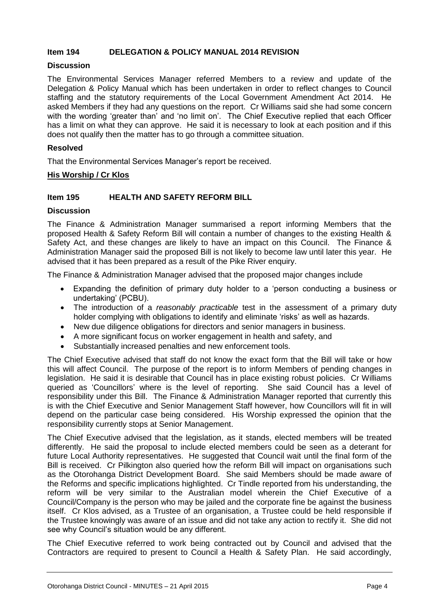#### **Item 194 DELEGATION & POLICY MANUAL 2014 REVISION**

#### **Discussion**

The Environmental Services Manager referred Members to a review and update of the Delegation & Policy Manual which has been undertaken in order to reflect changes to Council staffing and the statutory requirements of the Local Government Amendment Act 2014. He asked Members if they had any questions on the report. Cr Williams said she had some concern with the wording 'greater than' and 'no limit on'. The Chief Executive replied that each Officer has a limit on what they can approve. He said it is necessary to look at each position and if this does not qualify then the matter has to go through a committee situation.

#### **Resolved**

That the Environmental Services Manager's report be received.

#### **His Worship / Cr Klos**

#### **Item 195 HEALTH AND SAFETY REFORM BILL**

#### **Discussion**

The Finance & Administration Manager summarised a report informing Members that the proposed Health & Safety Reform Bill will contain a number of changes to the existing Health & Safety Act, and these changes are likely to have an impact on this Council. The Finance & Administration Manager said the proposed Bill is not likely to become law until later this year. He advised that it has been prepared as a result of the Pike River enquiry.

The Finance & Administration Manager advised that the proposed major changes include

- Expanding the definition of primary duty holder to a 'person conducting a business or undertaking' (PCBU).
- The introduction of a *reasonably practicable* test in the assessment of a primary duty holder complying with obligations to identify and eliminate 'risks' as well as hazards.
- New due diligence obligations for directors and senior managers in business.
- A more significant focus on worker engagement in health and safety, and
- Substantially increased penalties and new enforcement tools.

The Chief Executive advised that staff do not know the exact form that the Bill will take or how this will affect Council. The purpose of the report is to inform Members of pending changes in legislation. He said it is desirable that Council has in place existing robust policies. Cr Williams queried as 'Councillors' where is the level of reporting. She said Council has a level of responsibility under this Bill. The Finance & Administration Manager reported that currently this is with the Chief Executive and Senior Management Staff however, how Councillors will fit in will depend on the particular case being considered. His Worship expressed the opinion that the responsibility currently stops at Senior Management.

The Chief Executive advised that the legislation, as it stands, elected members will be treated differently. He said the proposal to include elected members could be seen as a deterant for future Local Authority representatives. He suggested that Council wait until the final form of the Bill is received. Cr Pilkington also queried how the reform Bill will impact on organisations such as the Otorohanga District Development Board. She said Members should be made aware of the Reforms and specific implications highlighted. Cr Tindle reported from his understanding, the reform will be very similar to the Australian model wherein the Chief Executive of a Council/Company is the person who may be jailed and the corporate fine be against the business itself. Cr Klos advised, as a Trustee of an organisation, a Trustee could be held responsible if the Trustee knowingly was aware of an issue and did not take any action to rectify it. She did not see why Council's situation would be any different.

The Chief Executive referred to work being contracted out by Council and advised that the Contractors are required to present to Council a Health & Safety Plan. He said accordingly,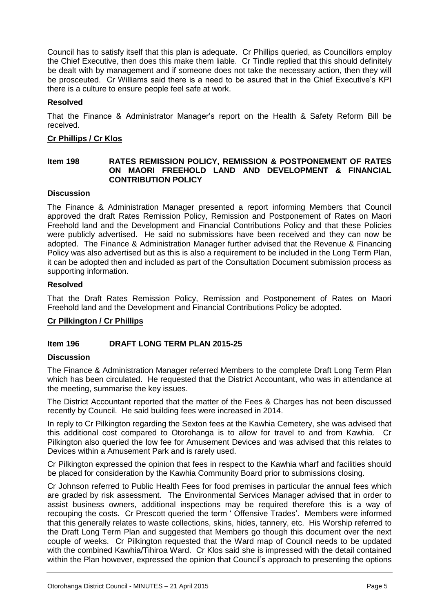Council has to satisfy itself that this plan is adequate. Cr Phillips queried, as Councillors employ the Chief Executive, then does this make them liable. Cr Tindle replied that this should definitely be dealt with by management and if someone does not take the necessary action, then they will be prosceuted. Cr Williams said there is a need to be asured that in the Chief Executive's KPI there is a culture to ensure people feel safe at work.

#### **Resolved**

That the Finance & Administrator Manager's report on the Health & Safety Reform Bill be received.

#### **Cr Phillips / Cr Klos**

#### **Item 198 RATES REMISSION POLICY, REMISSION & POSTPONEMENT OF RATES ON MAORI FREEHOLD LAND AND DEVELOPMENT & FINANCIAL CONTRIBUTION POLICY**

#### **Discussion**

The Finance & Administration Manager presented a report informing Members that Council approved the draft Rates Remission Policy, Remission and Postponement of Rates on Maori Freehold land and the Development and Financial Contributions Policy and that these Policies were publicly advertised. He said no submissions have been received and they can now be adopted. The Finance & Administration Manager further advised that the Revenue & Financing Policy was also advertised but as this is also a requirement to be included in the Long Term Plan, it can be adopted then and included as part of the Consultation Document submission process as supporting information.

#### **Resolved**

That the Draft Rates Remission Policy, Remission and Postponement of Rates on Maori Freehold land and the Development and Financial Contributions Policy be adopted.

#### **Cr Pilkington / Cr Phillips**

#### **Item 196 DRAFT LONG TERM PLAN 2015-25**

#### **Discussion**

The Finance & Administration Manager referred Members to the complete Draft Long Term Plan which has been circulated. He requested that the District Accountant, who was in attendance at the meeting, summarise the key issues.

The District Accountant reported that the matter of the Fees & Charges has not been discussed recently by Council. He said building fees were increased in 2014.

In reply to Cr Pilkington regarding the Sexton fees at the Kawhia Cemetery, she was advised that this additional cost compared to Otorohanga is to allow for travel to and from Kawhia. Cr Pilkington also queried the low fee for Amusement Devices and was advised that this relates to Devices within a Amusement Park and is rarely used.

Cr Pilkington expressed the opinion that fees in respect to the Kawhia wharf and facilities should be placed for consideration by the Kawhia Community Board prior to submissions closing.

Cr Johnson referred to Public Health Fees for food premises in particular the annual fees which are graded by risk assessment. The Environmental Services Manager advised that in order to assist business owners, additional inspections may be required therefore this is a way of recouping the costs. Cr Prescott queried the term ' Offensive Trades'. Members were informed that this generally relates to waste collections, skins, hides, tannery, etc. His Worship referred to the Draft Long Term Plan and suggested that Members go though this document over the next couple of weeks. Cr Pilkington requested that the Ward map of Council needs to be updated with the combined Kawhia/Tihiroa Ward. Cr Klos said she is impressed with the detail contained within the Plan however, expressed the opinion that Council's approach to presenting the options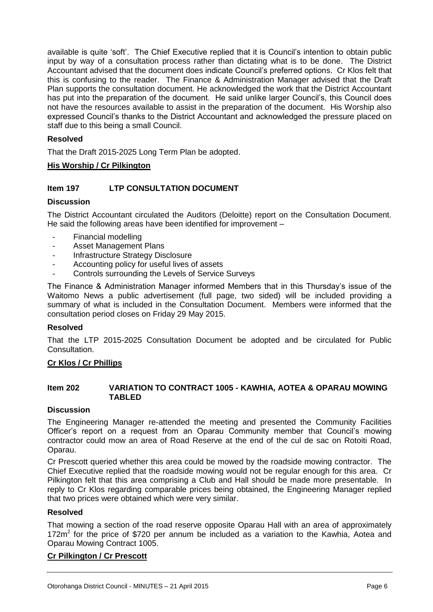available is quite 'soft'. The Chief Executive replied that it is Council's intention to obtain public input by way of a consultation process rather than dictating what is to be done. The District Accountant advised that the document does indicate Council's preferred options. Cr Klos felt that this is confusing to the reader. The Finance & Administration Manager advised that the Draft Plan supports the consultation document. He acknowledged the work that the District Accountant has put into the preparation of the document. He said unlike larger Council's, this Council does not have the resources available to assist in the preparation of the document. His Worship also expressed Council's thanks to the District Accountant and acknowledged the pressure placed on staff due to this being a small Council.

#### **Resolved**

That the Draft 2015-2025 Long Term Plan be adopted.

#### **His Worship / Cr Pilkington**

#### **Item 197 LTP CONSULTATION DOCUMENT**

#### **Discussion**

The District Accountant circulated the Auditors (Deloitte) report on the Consultation Document. He said the following areas have been identified for improvement –

- Financial modelling
- Asset Management Plans
- Infrastructure Strategy Disclosure
- Accounting policy for useful lives of assets
- Controls surrounding the Levels of Service Surveys

The Finance & Administration Manager informed Members that in this Thursday's issue of the Waitomo News a public advertisement (full page, two sided) will be included providing a summary of what is included in the Consultation Document. Members were informed that the consultation period closes on Friday 29 May 2015.

#### **Resolved**

That the LTP 2015-2025 Consultation Document be adopted and be circulated for Public Consultation.

#### **Cr Klos / Cr Phillips**

#### **Item 202 VARIATION TO CONTRACT 1005 - KAWHIA, AOTEA & OPARAU MOWING TABLED**

#### **Discussion**

The Engineering Manager re-attended the meeting and presented the Community Facilities Officer's report on a request from an Oparau Community member that Council's mowing contractor could mow an area of Road Reserve at the end of the cul de sac on Rotoiti Road, Oparau.

Cr Prescott queried whether this area could be mowed by the roadside mowing contractor. The Chief Executive replied that the roadside mowing would not be regular enough for this area. Cr Pilkington felt that this area comprising a Club and Hall should be made more presentable. In reply to Cr Klos regarding comparable prices being obtained, the Engineering Manager replied that two prices were obtained which were very similar.

#### **Resolved**

That mowing a section of the road reserve opposite Oparau Hall with an area of approximately 172 $m<sup>2</sup>$  for the price of \$720 per annum be included as a variation to the Kawhia, Aotea and Oparau Mowing Contract 1005.

#### **Cr Pilkington / Cr Prescott**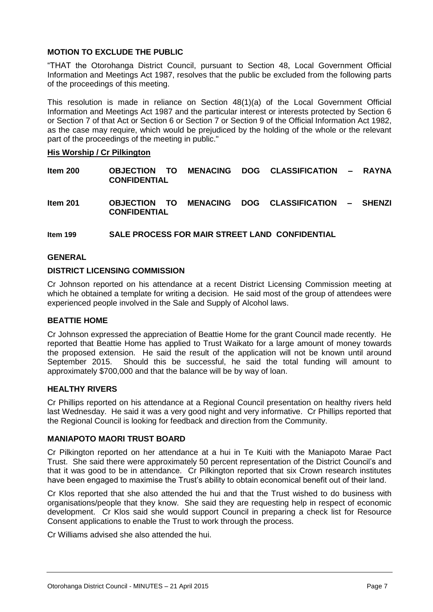#### **MOTION TO EXCLUDE THE PUBLIC**

"THAT the Otorohanga District Council, pursuant to Section 48, Local Government Official Information and Meetings Act 1987, resolves that the public be excluded from the following parts of the proceedings of this meeting.

This resolution is made in reliance on Section 48(1)(a) of the Local Government Official Information and Meetings Act 1987 and the particular interest or interests protected by Section 6 or Section 7 of that Act or Section 6 or Section 7 or Section 9 of the Official Information Act 1982, as the case may require, which would be prejudiced by the holding of the whole or the relevant part of the proceedings of the meeting in public."

#### **His Worship / Cr Pilkington**

| Item 200 |                     |  |  |  | OBJECTION TO MENACING DOG CLASSIFICATION | – RAYNA |
|----------|---------------------|--|--|--|------------------------------------------|---------|
|          | <b>CONFIDENTIAL</b> |  |  |  |                                          |         |

**Item 201 OBJECTION TO MENACING DOG CLASSIFICATION – SHENZI CONFIDENTIAL**

**Item 199 SALE PROCESS FOR MAIR STREET LAND CONFIDENTIAL**

#### **GENERAL**

#### **DISTRICT LICENSING COMMISSION**

Cr Johnson reported on his attendance at a recent District Licensing Commission meeting at which he obtained a template for writing a decision. He said most of the group of attendees were experienced people involved in the Sale and Supply of Alcohol laws.

#### **BEATTIE HOME**

Cr Johnson expressed the appreciation of Beattie Home for the grant Council made recently. He reported that Beattie Home has applied to Trust Waikato for a large amount of money towards the proposed extension. He said the result of the application will not be known until around September 2015. Should this be successful, he said the total funding will amount to approximately \$700,000 and that the balance will be by way of loan.

#### **HEALTHY RIVERS**

Cr Phillips reported on his attendance at a Regional Council presentation on healthy rivers held last Wednesday. He said it was a very good night and very informative. Cr Phillips reported that the Regional Council is looking for feedback and direction from the Community.

#### **MANIAPOTO MAORI TRUST BOARD**

Cr Pilkington reported on her attendance at a hui in Te Kuiti with the Maniapoto Marae Pact Trust. She said there were approximately 50 percent representation of the District Council's and that it was good to be in attendance. Cr Pilkington reported that six Crown research institutes have been engaged to maximise the Trust's ability to obtain economical benefit out of their land.

Cr Klos reported that she also attended the hui and that the Trust wished to do business with organisations/people that they know. She said they are requesting help in respect of economic development. Cr Klos said she would support Council in preparing a check list for Resource Consent applications to enable the Trust to work through the process.

Cr Williams advised she also attended the hui.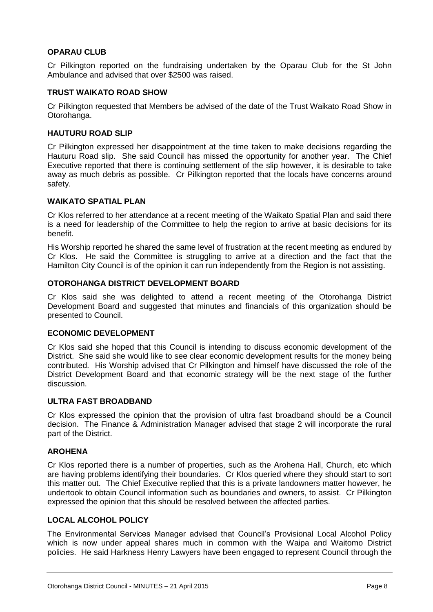#### **OPARAU CLUB**

Cr Pilkington reported on the fundraising undertaken by the Oparau Club for the St John Ambulance and advised that over \$2500 was raised.

#### **TRUST WAIKATO ROAD SHOW**

Cr Pilkington requested that Members be advised of the date of the Trust Waikato Road Show in Otorohanga.

#### **HAUTURU ROAD SLIP**

Cr Pilkington expressed her disappointment at the time taken to make decisions regarding the Hauturu Road slip. She said Council has missed the opportunity for another year. The Chief Executive reported that there is continuing settlement of the slip however, it is desirable to take away as much debris as possible. Cr Pilkington reported that the locals have concerns around safety.

#### **WAIKATO SPATIAL PLAN**

Cr Klos referred to her attendance at a recent meeting of the Waikato Spatial Plan and said there is a need for leadership of the Committee to help the region to arrive at basic decisions for its benefit.

His Worship reported he shared the same level of frustration at the recent meeting as endured by Cr Klos. He said the Committee is struggling to arrive at a direction and the fact that the Hamilton City Council is of the opinion it can run independently from the Region is not assisting.

#### **OTOROHANGA DISTRICT DEVELOPMENT BOARD**

Cr Klos said she was delighted to attend a recent meeting of the Otorohanga District Development Board and suggested that minutes and financials of this organization should be presented to Council.

#### **ECONOMIC DEVELOPMENT**

Cr Klos said she hoped that this Council is intending to discuss economic development of the District. She said she would like to see clear economic development results for the money being contributed. His Worship advised that Cr Pilkington and himself have discussed the role of the District Development Board and that economic strategy will be the next stage of the further discussion.

#### **ULTRA FAST BROADBAND**

Cr Klos expressed the opinion that the provision of ultra fast broadband should be a Council decision. The Finance & Administration Manager advised that stage 2 will incorporate the rural part of the District.

#### **AROHENA**

Cr Klos reported there is a number of properties, such as the Arohena Hall, Church, etc which are having problems identifying their boundaries. Cr Klos queried where they should start to sort this matter out. The Chief Executive replied that this is a private landowners matter however, he undertook to obtain Council information such as boundaries and owners, to assist. Cr Pilkington expressed the opinion that this should be resolved between the affected parties.

#### **LOCAL ALCOHOL POLICY**

The Environmental Services Manager advised that Council's Provisional Local Alcohol Policy which is now under appeal shares much in common with the Waipa and Waitomo District policies. He said Harkness Henry Lawyers have been engaged to represent Council through the